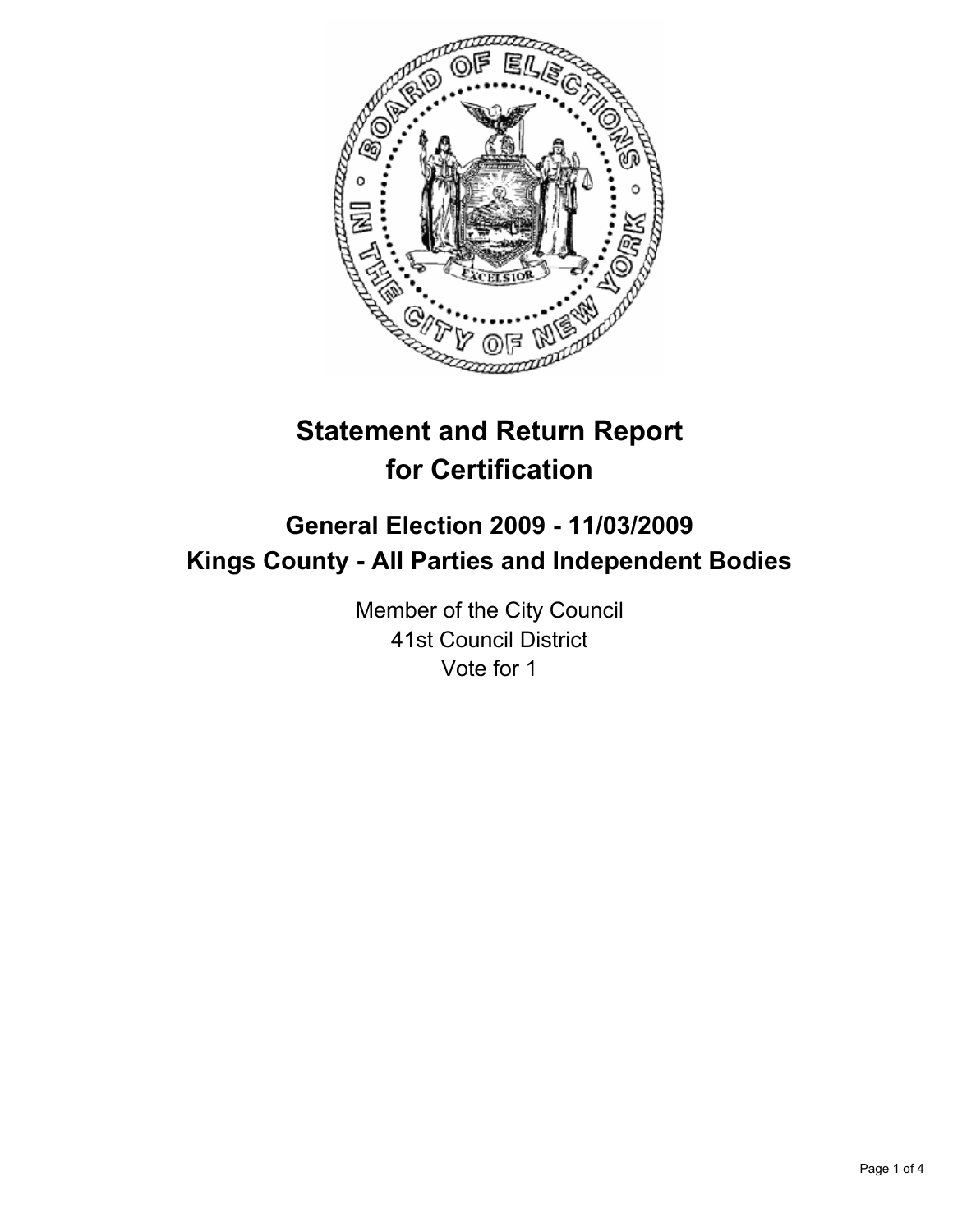

# **Statement and Return Report for Certification**

# **General Election 2009 - 11/03/2009 Kings County - All Parties and Independent Bodies**

Member of the City Council 41st Council District Vote for 1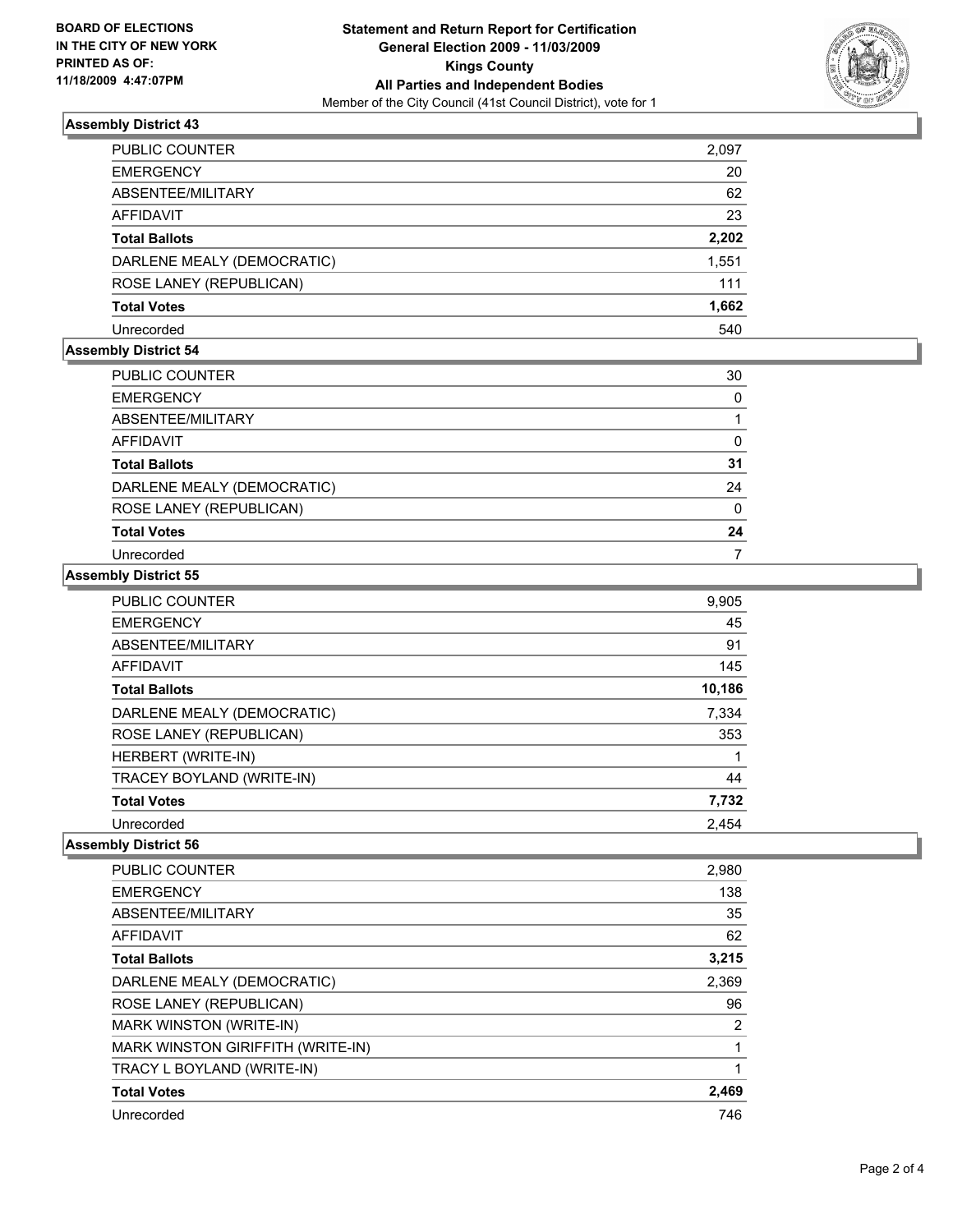

## **Assembly District 43**

| PUBLIC COUNTER             | 2,097 |
|----------------------------|-------|
| <b>EMERGENCY</b>           | 20    |
| ABSENTEE/MILITARY          | 62    |
| AFFIDAVIT                  | 23    |
| <b>Total Ballots</b>       | 2,202 |
| DARLENE MEALY (DEMOCRATIC) | 1,551 |
| ROSE LANEY (REPUBLICAN)    | 111   |
| <b>Total Votes</b>         | 1,662 |
| Unrecorded                 | 540   |

#### **Assembly District 54**

| PUBLIC COUNTER             | 30 |
|----------------------------|----|
| <b>EMERGENCY</b>           | 0  |
| ABSENTEE/MILITARY          |    |
| AFFIDAVIT                  | 0  |
| <b>Total Ballots</b>       | 31 |
| DARLENE MEALY (DEMOCRATIC) | 24 |
| ROSE LANEY (REPUBLICAN)    | 0  |
| <b>Total Votes</b>         | 24 |
| Unrecorded                 |    |

## **Assembly District 55**

| <b>PUBLIC COUNTER</b>      | 9,905  |
|----------------------------|--------|
| <b>EMERGENCY</b>           | 45     |
| ABSENTEE/MILITARY          | 91     |
| <b>AFFIDAVIT</b>           | 145    |
| <b>Total Ballots</b>       | 10,186 |
| DARLENE MEALY (DEMOCRATIC) | 7,334  |
| ROSE LANEY (REPUBLICAN)    | 353    |
| HERBERT (WRITE-IN)         |        |
| TRACEY BOYLAND (WRITE-IN)  | 44     |
| <b>Total Votes</b>         | 7,732  |
| Unrecorded                 | 2,454  |

## **Assembly District 56**

| <b>PUBLIC COUNTER</b>             | 2,980 |
|-----------------------------------|-------|
| <b>EMERGENCY</b>                  | 138   |
| ABSENTEE/MILITARY                 | 35    |
| AFFIDAVIT                         | 62    |
| <b>Total Ballots</b>              | 3,215 |
| DARLENE MEALY (DEMOCRATIC)        | 2,369 |
| ROSE LANEY (REPUBLICAN)           | 96    |
| MARK WINSTON (WRITE-IN)           | 2     |
| MARK WINSTON GIRIFFITH (WRITE-IN) |       |
| TRACY L BOYLAND (WRITE-IN)        |       |
| <b>Total Votes</b>                | 2,469 |
| Unrecorded                        | 746   |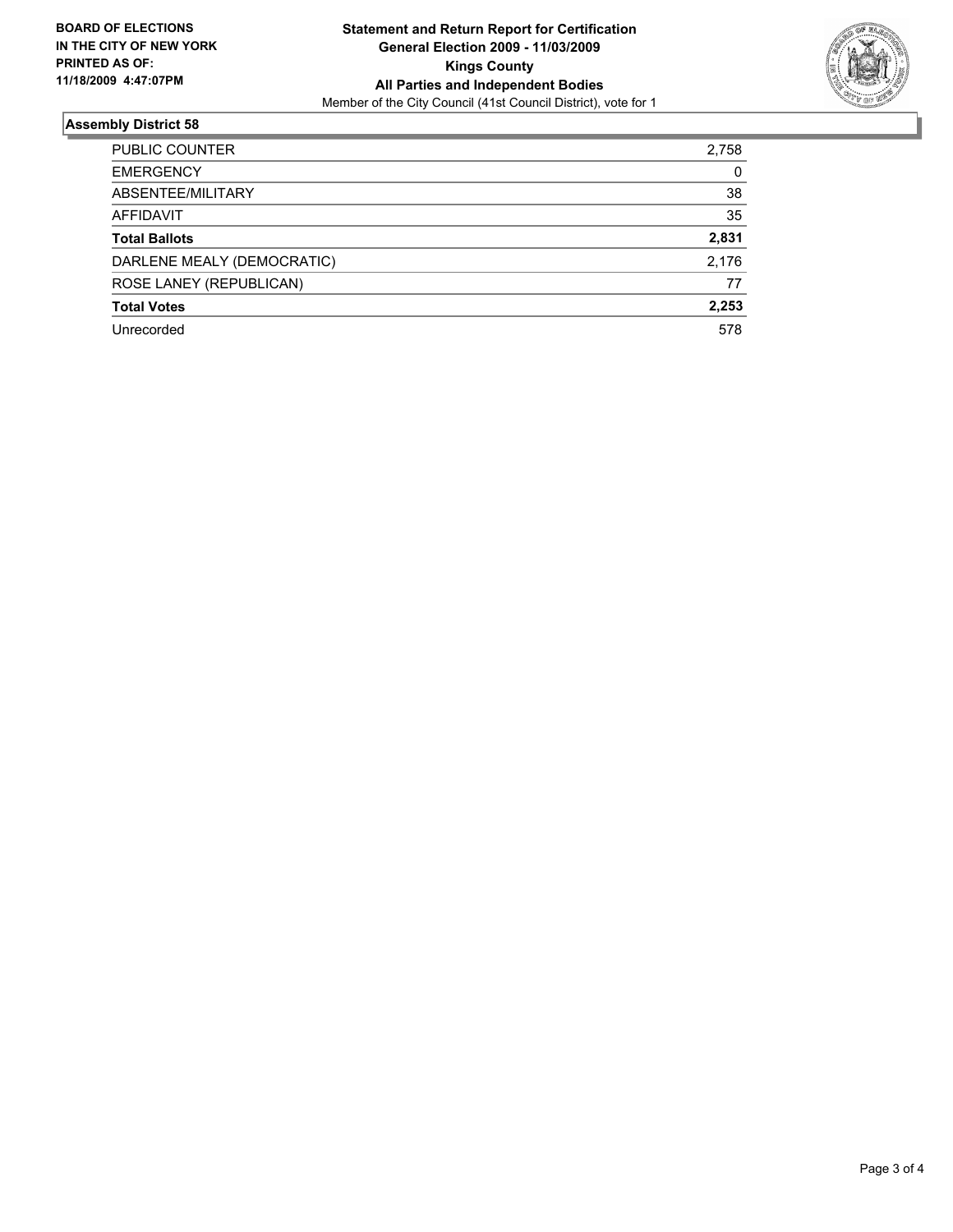

## **Assembly District 58**

| <b>PUBLIC COUNTER</b>      | 2,758 |
|----------------------------|-------|
| <b>EMERGENCY</b>           | 0     |
| ABSENTEE/MILITARY          | 38    |
| AFFIDAVIT                  | 35    |
| <b>Total Ballots</b>       | 2,831 |
| DARLENE MEALY (DEMOCRATIC) | 2,176 |
| ROSE LANEY (REPUBLICAN)    | 77    |
| <b>Total Votes</b>         | 2,253 |
| Unrecorded                 | 578   |